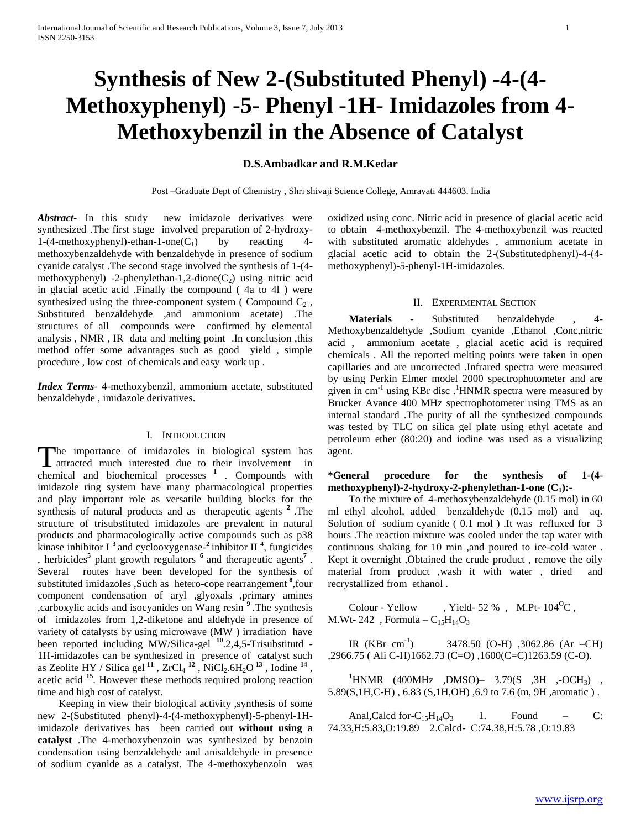# **Synthesis of New 2-(Substituted Phenyl) -4-(4- Methoxyphenyl) -5- Phenyl -1H- Imidazoles from 4- Methoxybenzil in the Absence of Catalyst**

# **D.S.Ambadkar and R.M.Kedar**

Post –Graduate Dept of Chemistry , Shri shivaji Science College, Amravati 444603. India

Abstract- In this study new imidazole derivatives were synthesized .The first stage involved preparation of 2-hydroxy- $1-(4-methoxyphenyl)-ethan-1-one(C_1)$  by reacting 4methoxybenzaldehyde with benzaldehyde in presence of sodium cyanide catalyst .The second stage involved the synthesis of 1-(4 methoxyphenyl) -2-phenylethan-1,2-dione( $C_2$ ) using nitric acid in glacial acetic acid .Finally the compound ( 4a to 4l ) were synthesized using the three-component system (Compound  $C_2$ , Substituted benzaldehyde ,and ammonium acetate) .The structures of all compounds were confirmed by elemental analysis , NMR , IR data and melting point .In conclusion ,this method offer some advantages such as good yield , simple procedure , low cost of chemicals and easy work up .

*Index Terms*- 4-methoxybenzil, ammonium acetate, substituted benzaldehyde , imidazole derivatives.

## I. INTRODUCTION

The importance of imidazoles in biological system has attracted much interested due to their involvement in **L** attracted much interested due to their involvement in chemical and biochemical processes **<sup>1</sup>** . Compounds with imidazole ring system have many pharmacological properties and play important role as versatile building blocks for the synthesis of natural products and as therapeutic agents **<sup>2</sup>**.The structure of trisubstituted imidazoles are prevalent in natural products and pharmacologically active compounds such as p38 kinase inhibitor  $I^3$  and cyclooxygenase<sup>-2</sup> inhibitor  $II^4$ , fungicides , herbicides**<sup>5</sup>** plant growth regulators **<sup>6</sup>**and therapeutic agents**<sup>7</sup>** . Several routes have been developed for the synthesis of substituted imidazoles ,Such as hetero-cope rearrangement <sup>8</sup>, four component condensation of aryl ,glyoxals ,primary amines ,carboxylic acids and isocyanides on Wang resin **<sup>9</sup>**.The synthesis of imidazoles from 1,2-diketone and aldehyde in presence of variety of catalysts by using microwave (MW ) irradiation have been reported including MW/Silica-gel **<sup>10</sup>**.2,4,5-Trisubstitutd - 1H-imidazoles can be synthesized in presence of catalyst such as Zeolite HY / Silica gel<sup>11</sup>, ZrCl<sub>4</sub><sup>12</sup>, NiCl<sub>2</sub>.6H<sub>2</sub>O<sup>13</sup>, Iodine<sup>14</sup>, acetic acid **<sup>15</sup>**. However these methods required prolong reaction time and high cost of catalyst.

 Keeping in view their biological activity ,synthesis of some new 2-(Substituted phenyl)-4-(4-methoxyphenyl)-5-phenyl-1Himidazole derivatives has been carried out **without using a catalyst** .The 4-methoxybenzoin was synthesized by benzoin condensation using benzaldehyde and anisaldehyde in presence of sodium cyanide as a catalyst. The 4-methoxybenzoin was

oxidized using conc. Nitric acid in presence of glacial acetic acid to obtain 4-methoxybenzil. The 4-methoxybenzil was reacted with substituted aromatic aldehydes , ammonium acetate in glacial acetic acid to obtain the 2-(Substitutedphenyl)-4-(4 methoxyphenyl)-5-phenyl-1H-imidazoles.

#### II. EXPERIMENTAL SECTION

 **Materials** - Substituted benzaldehyde , 4- Methoxybenzaldehyde ,Sodium cyanide ,Ethanol ,Conc,nitric acid , ammonium acetate , glacial acetic acid is required chemicals . All the reported melting points were taken in open capillaries and are uncorrected .Infrared spectra were measured by using Perkin Elmer model 2000 spectrophotometer and are given in cm<sup>-1</sup> using KBr disc .<sup>1</sup>HNMR spectra were measured by Brucker Avance 400 MHz spectrophotometer using TMS as an internal standard .The purity of all the synthesized compounds was tested by TLC on silica gel plate using ethyl acetate and petroleum ether (80:20) and iodine was used as a visualizing agent.

**\*General procedure for the synthesis of 1-(4** methoxyphenyl)-2-hydroxy-2-phenylethan-1-one  $(C_1)$ :-

 To the mixture of 4-methoxybenzaldehyde (0.15 mol) in 60 ml ethyl alcohol, added benzaldehyde (0.15 mol) and aq. Solution of sodium cyanide ( 0.1 mol ) .It was refluxed for 3 hours .The reaction mixture was cooled under the tap water with continuous shaking for 10 min ,and poured to ice-cold water . Kept it overnight ,Obtained the crude product , remove the oily material from product ,wash it with water , dried and recrystallized from ethanol .

Colour - Yellow , Yield-  $52\%$ , M.Pt-  $104\degree$ C, M.Wt- 242, Formula –  $C_{15}H_{14}O_3$ 

IR  $(KBr \ cm^{-1})$ ) 3478.50 (O-H) ,3062.86 (Ar –CH) ,2966.75 ( Ali C-H)1662.73 (C=O) ,1600(C=C)1263.59 (C-O).

 $^{1}$ HNMR (400MHz ,DMSO)– 3.79(S ,3H ,-OCH<sub>3</sub>), 5.89(S,1H,C-H) , 6.83 (S,1H,OH) ,6.9 to 7.6 (m, 9H ,aromatic ) .

Anal,Calcd for- $C_{15}H_{14}O_3$  1. Found – C: 74.33,H:5.83,O:19.89 2.Calcd- C:74.38,H:5.78 ,O:19.83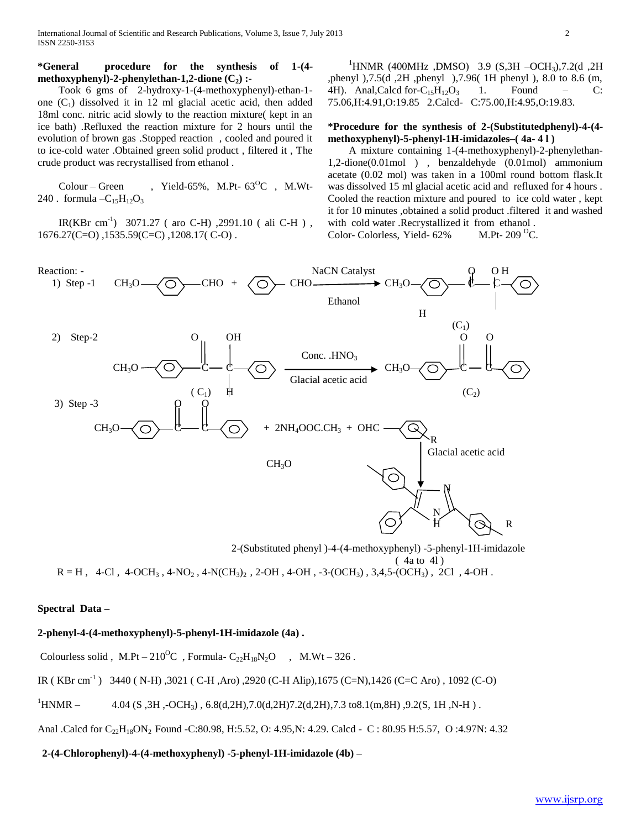# **\*General procedure for the synthesis of 1-(4 methoxyphenyl)-2-phenylethan-1,2-dione (C2) :-**

 Took 6 gms of 2-hydroxy-1-(4-methoxyphenyl)-ethan-1 one  $(C_1)$  dissolved it in 12 ml glacial acetic acid, then added 18ml conc. nitric acid slowly to the reaction mixture( kept in an ice bath) .Refluxed the reaction mixture for 2 hours until the evolution of brown gas .Stopped reaction , cooled and poured it to ice-cold water .Obtained green solid product , filtered it , The crude product was recrystallised from ethanol .

Colour – Green , Yield-65%, M.Pt- $63^{\circ}$ C , M.Wt-240 . formula  $-C_{15}H_{12}O_3$ 

 IR(KBr cm-1 ) 3071.27 ( aro C-H) ,2991.10 ( ali C-H ) , 1676.27(C=O) ,1535.59(C=C) ,1208.17( C-O) .

 $^1$ HNMR (400MHz ,DMSO) 3.9 (S,3H –OCH<sub>3</sub>),7.2(d ,2H ,phenyl ),7.5(d ,2H ,phenyl ),7.96( 1H phenyl ), 8.0 to 8.6 (m, 4H). Anal, Calcd for- $C_{15}H_{12}O_3$  1. Found – C: 75.06,H:4.91,O:19.85 2.Calcd- C:75.00,H:4.95,O:19.83.

# **\*Procedure for the synthesis of 2-(Substitutedphenyl)-4-(4 methoxyphenyl)-5-phenyl-1H-imidazoles–( 4a- 4 l )**

 A mixture containing 1-(4-methoxyphenyl)-2-phenylethan-1,2-dione(0.01mol ) , benzaldehyde (0.01mol) ammonium acetate (0.02 mol) was taken in a 100ml round bottom flask.It was dissolved 15 ml glacial acetic acid and refluxed for 4 hours . Cooled the reaction mixture and poured to ice cold water , kept it for 10 minutes ,obtained a solid product .filtered it and washed with cold water .Recrystallized it from ethanol . Color- Colorless, Yield-  $62\%$  M.Pt-  $209\,^{\circ}$ C.



 2-(Substituted phenyl )-4-(4-methoxyphenyl) -5-phenyl-1H-imidazole ( 4a to 4l )  $R = H$ , 4-Cl, 4-OCH<sub>3</sub>, 4-NO<sub>2</sub>, 4-N(CH<sub>3</sub>)<sub>2</sub>, 2-OH, 4-OH, -3-(OCH<sub>3</sub>), 3,4,5-(OCH<sub>3</sub>), 2Cl, 4-OH.

## **Spectral Data –**

## **2-phenyl-4-(4-methoxyphenyl)-5-phenyl-1H-imidazole (4a) .**

Colourless solid, M.Pt – 210<sup>o</sup>C, Formula- C<sub>22</sub>H<sub>18</sub>N<sub>2</sub>O, M.Wt – 326.

IR ( KBr cm-1 ) 3440 ( N-H) ,3021 ( C-H ,Aro) ,2920 (C-H Alip),1675 (C=N),1426 (C=C Aro) , 1092 (C-O)

 $^{1}$ HNMR – 4.04 (S, 3H, -OCH<sub>3</sub>), 6.8(d,2H), 7.0(d,2H) 7.2(d,2H), 7.3 to8.1(m,8H) ,9.2(S, 1H, N-H).

Anal .Calcd for C<sub>22</sub>H<sub>18</sub>ON<sub>2</sub> Found -C:80.98, H:5.52, O: 4.95, N: 4.29. Calcd - C : 80.95 H:5.57, O :4.97N: 4.32

**2-(4-Chlorophenyl)-4-(4-methoxyphenyl) -5-phenyl-1H-imidazole (4b) –**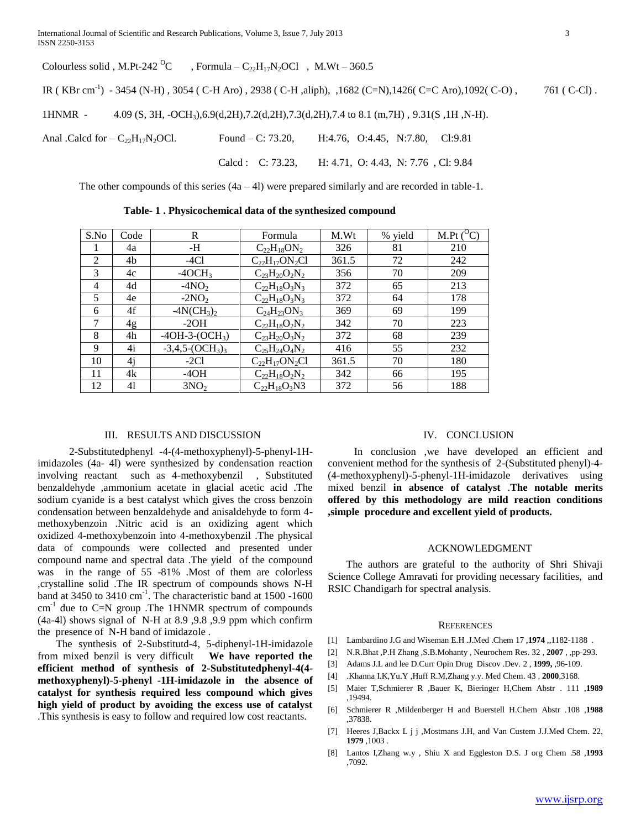|                                         | Colourless solid, M.Pt-242 <sup>o</sup> C , Formula – C <sub>22</sub> H <sub>17</sub> N <sub>2</sub> OCl , M.Wt – 360.5 |                   |                                                                                                                      |              |
|-----------------------------------------|-------------------------------------------------------------------------------------------------------------------------|-------------------|----------------------------------------------------------------------------------------------------------------------|--------------|
|                                         |                                                                                                                         |                   | IR (KBr cm <sup>-1</sup> ) - 3454 (N-H), 3054 (C-H Aro), 2938 (C-H ,aliph), ,1682 (C=N), 1426 (C=C Aro), 1092 (C-O), | 761 ( C-Cl). |
| 1HNMR -                                 |                                                                                                                         |                   | 4.09 (S, 3H, -OCH <sub>3</sub> ),6.9(d,2H),7.2(d,2H),7.3(d,2H),7.4 to 8.1 (m,7H), 9.31(S, 1H, N-H).                  |              |
| Anal .Calcd for $-C_{22}H_{17}N_2OCl$ . |                                                                                                                         | Found – C: 73.20, | $H:4.76$ , $O:4.45$ , $N:7.80$ , $Cl:9.81$                                                                           |              |

Calcd : C: 73.23, H: 4.71, O: 4.43, N: 7.76 , Cl: 9.84

The other compounds of this series  $(4a - 4l)$  were prepared similarly and are recorded in table-1.

| S.No | Code | R                             | Formula              | M.Wt  | % yield | $M.Pt ({}^{O}C)$ |
|------|------|-------------------------------|----------------------|-------|---------|------------------|
|      | 4a   | -H                            | $C_{22}H_{18}ON_2$   | 326   | 81      | 210              |
| 2    | 4b   | $-4Cl$                        | $C_{22}H_{17}ON_2Cl$ | 361.5 | 72      | 242              |
| 3    | 4c   | $-4OCH3$                      | $C_{23}H_{20}O_2N_2$ | 356   | 70      | 209              |
| 4    | 4d   | $-4NO2$                       | $C_{22}H_{18}O_3N_3$ | 372   | 65      | 213              |
| 5    | 4e   | $-2NO2$                       | $C_{22}H_{18}O_3N_3$ | 372   | 64      | 178              |
| 6    | 4f   | $-4N(CH_3)$                   | $C_{24}H_{23}ON_3$   | 369   | 69      | 199              |
| 7    | 4g   | $-2OH$                        | $C_{22}H_{18}O_2N_2$ | 342   | 70      | 223              |
| 8    | 4h   | $-4OH-3-(OCH3)$               | $C_{23}H_{20}O_3N_2$ | 372   | 68      | 239              |
| 9    | 4i   | $-3,4,5-(OCH_3)$ <sub>3</sub> | $C_{25}H_{24}O_4N_2$ | 416   | 55      | 232              |
| 10   | 4i   | $-2Cl$                        | $C_{22}H_{17}ON_2Cl$ | 361.5 | 70      | 180              |
| 11   | 4k   | $-4OH$                        | $C_{22}H_{18}O_2N_2$ | 342   | 66      | 195              |
| 12   | 41   | 3NO <sub>2</sub>              | $C_{22}H_{18}O_3N3$  | 372   | 56      | 188              |

 **Table- 1 . Physicochemical data of the synthesized compound** 

#### III. RESULTS AND DISCUSSION

2-Substitutedphenyl -4-(4-methoxyphenyl)-5-phenyl-1Himidazoles (4a- 4l) were synthesized by condensation reaction involving reactant such as 4-methoxybenzil , Substituted benzaldehyde ,ammonium acetate in glacial acetic acid .The sodium cyanide is a best catalyst which gives the cross benzoin condensation between benzaldehyde and anisaldehyde to form 4 methoxybenzoin .Nitric acid is an oxidizing agent which oxidized 4-methoxybenzoin into 4-methoxybenzil .The physical data of compounds were collected and presented under compound name and spectral data .The yield of the compound was in the range of 55 -81% .Most of them are colorless ,crystalline solid .The IR spectrum of compounds shows N-H band at 3450 to 3410 cm<sup>-1</sup>. The characteristic band at 1500 -1600  $cm^{-1}$  due to C=N group .The 1HNMR spectrum of compounds (4a-4l) shows signal of N-H at 8.9 ,9.8 ,9.9 ppm which confirm the presence of N-H band of imidazole .

 The synthesis of 2-Substitutd-4, 5-diphenyl-1H-imidazole from mixed benzil is very difficult **We have reported the efficient method of synthesis of 2-Substitutedphenyl-4(4 methoxyphenyl)-5-phenyl -1H-imidazole in the absence of catalyst for synthesis required less compound which gives high yield of product by avoiding the excess use of catalyst** .This synthesis is easy to follow and required low cost reactants.

## IV. CONCLUSION

 In conclusion ,we have developed an efficient and convenient method for the synthesis of 2-(Substituted phenyl)-4- (4-methoxyphenyl)-5-phenyl-1H-imidazole derivatives using mixed benzil **in absence of catalyst** .**The notable merits offered by this methodology are mild reaction conditions ,simple procedure and excellent yield of products.**

## ACKNOWLEDGMENT

 The authors are grateful to the authority of Shri Shivaji Science College Amravati for providing necessary facilities, and RSIC Chandigarh for spectral analysis.

#### **REFERENCES**

- [1] Lambardino J.G and Wiseman E.H .J.Med .Chem 17 ,**1974** ,,1182-1188 .
- [2] N.R.Bhat ,P.H Zhang ,S.B.Mohanty , Neurochem Res. 32 , **2007** , ,pp-293.
- [3] Adams J.L and lee D.Curr Opin Drug Discov .Dev. 2 , **1999,** ,96-109.
- [4] .Khanna I.K,Yu.Y ,Huff R.M,Zhang y.y. Med Chem. 43 , **2000**,3168.
- [5] Maier T,Schmierer R ,Bauer K, Bieringer H,Chem Abstr . 111 ,**1989** ,19494.
- [6] Schmierer R ,Mildenberger H and Buerstell H.Chem Abstr .108 ,**1988** ,37838.
- [7] Heeres J,Backx L j j ,Mostmans J.H, and Van Custem J.J.Med Chem. 22, **1979** ,1003 .
- [8] Lantos I,Zhang w.y , Shiu X and Eggleston D.S. J org Chem .58 ,**1993**  ,7092.